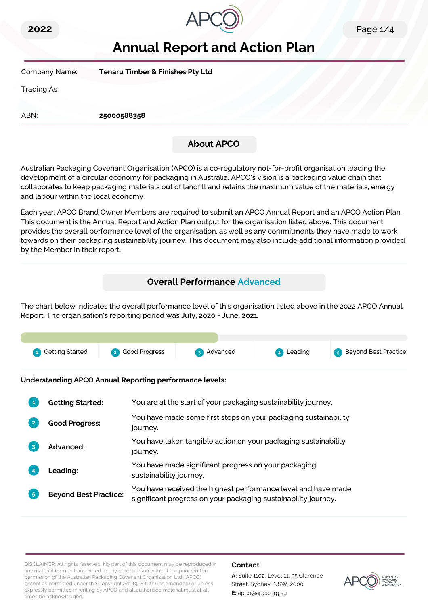



# **Annual Report and Action Plan**

| Company Name: | <b>Tenaru Timber &amp; Finishes Pty Ltd</b> |  |
|---------------|---------------------------------------------|--|
| Trading As:   |                                             |  |
| ABN:          | 25000588358                                 |  |
|               | <b>About APCO</b>                           |  |

Australian Packaging Covenant Organisation (APCO) is a co-regulatory not-for-profit organisation leading the development of a circular economy for packaging in Australia. APCO's vision is a packaging value chain that collaborates to keep packaging materials out of landfill and retains the maximum value of the materials, energy and labour within the local economy.

Each year, APCO Brand Owner Members are required to submit an APCO Annual Report and an APCO Action Plan. This document is the Annual Report and Action Plan output for the organisation listed above. This document provides the overall performance level of the organisation, as well as any commitments they have made to work towards on their packaging sustainability journey. This document may also include additional information provided by the Member in their report.

# **Overall Performance Advanced**

The chart below indicates the overall performance level of this organisation listed above in the 2022 APCO Annual Report. The organisation's reporting period was **July, 2020 - June, 2021**.

| <b>1</b> Getting Started | 2 Good Progress | 3 Advanced | 4 Leading | <b>5</b> Beyond Best Practice |
|--------------------------|-----------------|------------|-----------|-------------------------------|

**Understanding APCO Annual Reporting performance levels:**

| 1              | <b>Getting Started:</b>      | You are at the start of your packaging sustainability journey.                                                                  |
|----------------|------------------------------|---------------------------------------------------------------------------------------------------------------------------------|
| $\overline{2}$ | <b>Good Progress:</b>        | You have made some first steps on your packaging sustainability<br>journey.                                                     |
| 3              | <b>Advanced:</b>             | You have taken tangible action on your packaging sustainability<br>journey.                                                     |
|                | Leading:                     | You have made significant progress on your packaging<br>sustainability journey.                                                 |
| 5 <sup>1</sup> | <b>Beyond Best Practice:</b> | You have received the highest performance level and have made<br>significant progress on your packaging sustainability journey. |

DISCLAIMER: All rights reserved. No part of this document may be reproduced in any material form or transmitted to any other person without the prior written permission of the Australian Packaging Covenant Organisation Ltd. (APCO) except as permitted under the Copyright Act 1968 (Cth) (as amended) or unless expressly permitted in writing by APCO and all authorised material must at all times be acknowledged.

# **Contact**

**A:** Suite 1102, Level 11, 55 Clarence Street, Sydney, NSW, 2000 **E:** apco@apco.org.au

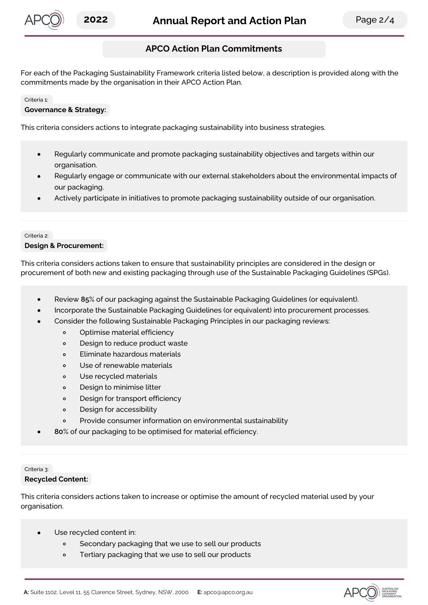

# **APCO Action Plan Commitments**

For each of the Packaging Sustainability Framework criteria listed below, a description is provided along with the commitments made by the organisation in their APCO Action Plan.

#### Criteria 1:

#### **Governance & Strategy:**

This criteria considers actions to integrate packaging sustainability into business strategies.

- Regularly communicate and promote packaging sustainability objectives and targets within our organisation.
- Regularly engage or communicate with our external stakeholders about the environmental impacts of our packaging.
- Actively participate in initiatives to promote packaging sustainability outside of our organisation.

#### Criteria 2:

#### **Design & Procurement:**

This criteria considers actions taken to ensure that sustainability principles are considered in the design or procurement of both new and existing packaging through use of the Sustainable Packaging Guidelines (SPGs).

- Review **85**% of our packaging against the Sustainable Packaging Guidelines (or equivalent).
- Incorporate the Sustainable Packaging Guidelines (or equivalent) into procurement processes.
- Consider the following Sustainable Packaging Principles in our packaging reviews:
	- Optimise material efficiency  $\circ$
	- $\circ$ Design to reduce product waste
	- Eliminate hazardous materials  $\Omega$
	- $\circ$ Use of renewable materials
	- Use recycled materials  $\circ$
	- Design to minimise litter  $\circ$
	- Design for transport efficiency  $\circ$
	- $\circ$ Design for accessibility
	- Provide consumer information on environmental sustainability  $\circ$
- **80**% of our packaging to be optimised for material efficiency.

# Criteria 3:

# **Recycled Content:**

This criteria considers actions taken to increase or optimise the amount of recycled material used by your organisation.

- Use recycled content in:
	- $\circ$ Secondary packaging that we use to sell our products
	- Tertiary packaging that we use to sell our products  $\circ$

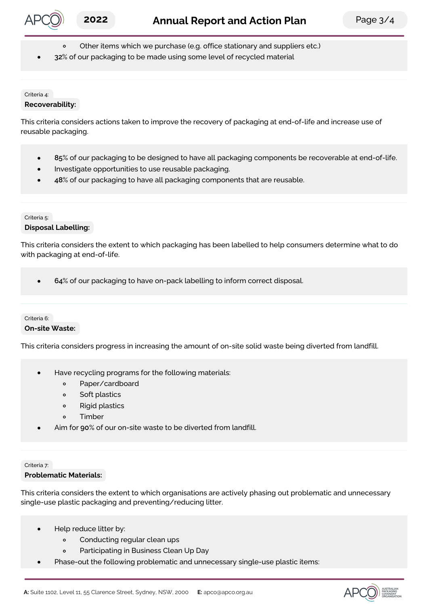

- Other items which we purchase (e.g. office stationary and suppliers etc.)
- **32**% of our packaging to be made using some level of recycled material

#### Criteria 4: **Recoverability:**

This criteria considers actions taken to improve the recovery of packaging at end-of-life and increase use of reusable packaging.

- **85**% of our packaging to be designed to have all packaging components be recoverable at end-of-life.  $\bullet$
- Investigate opportunities to use reusable packaging.
- **48**% of our packaging to have all packaging components that are reusable.

# Criteria 5:

**Disposal Labelling:**

This criteria considers the extent to which packaging has been labelled to help consumers determine what to do with packaging at end-of-life.

**64**% of our packaging to have on-pack labelling to inform correct disposal.

# Criteria 6: **On-site Waste:**

This criteria considers progress in increasing the amount of on-site solid waste being diverted from landfill.

- Have recycling programs for the following materials:
	- $\circ$ Paper/cardboard
	- Soft plastics  $\circ$
	- $\circ$ Rigid plastics
	- Timber  $\sim$
- Aim for **90**% of our on-site waste to be diverted from landfill.

# Criteria 7: **Problematic Materials:**

This criteria considers the extent to which organisations are actively phasing out problematic and unnecessary single-use plastic packaging and preventing/reducing litter.

- Help reduce litter by:
	- $\circ$ Conducting regular clean ups
	- $\circ$ Participating in Business Clean Up Day
- Phase-out the following problematic and unnecessary single-use plastic items:  $\bullet$